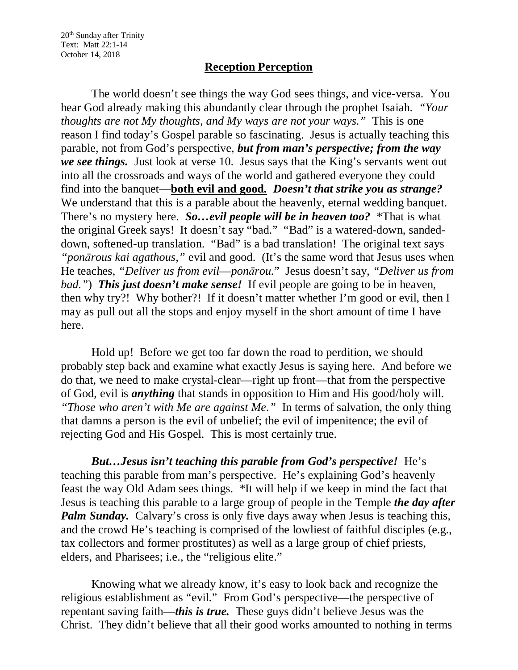20th Sunday after Trinity Text: Matt 22:1-14 October 14, 2018

## **Reception Perception**

The world doesn't see things the way God sees things, and vice-versa. You hear God already making this abundantly clear through the prophet Isaiah. *"Your thoughts are not My thoughts, and My ways are not your ways."* This is one reason I find today's Gospel parable so fascinating. Jesus is actually teaching this parable, not from God's perspective, *but from man's perspective; from the way we see things.* Just look at verse 10. Jesus says that the King's servants went out into all the crossroads and ways of the world and gathered everyone they could find into the banquet—**both evil and good.** *Doesn't that strike you as strange?* We understand that this is a parable about the heavenly, eternal wedding banquet. There's no mystery here. *So…evil people will be in heaven too?* \*That is what the original Greek says! It doesn't say "bad." "Bad" is a watered-down, sandeddown, softened-up translation. "Bad" is a bad translation! The original text says *"ponārous kai agathous,"* evil and good. (It's the same word that Jesus uses when He teaches, *"Deliver us from evil*—*ponārou.*" Jesus doesn't say, *"Deliver us from bad."*) **This just doesn't make sense!** If evil people are going to be in heaven, then why try?! Why bother?! If it doesn't matter whether I'm good or evil, then I may as pull out all the stops and enjoy myself in the short amount of time I have here.

Hold up! Before we get too far down the road to perdition, we should probably step back and examine what exactly Jesus is saying here. And before we do that, we need to make crystal-clear—right up front—that from the perspective of God, evil is *anything* that stands in opposition to Him and His good/holy will. *"Those who aren't with Me are against Me."* In terms of salvation, the only thing that damns a person is the evil of unbelief; the evil of impenitence; the evil of rejecting God and His Gospel. This is most certainly true.

*But…Jesus isn't teaching this parable from God's perspective!* He's teaching this parable from man's perspective. He's explaining God's heavenly feast the way Old Adam sees things. \*It will help if we keep in mind the fact that Jesus is teaching this parable to a large group of people in the Temple *the day after Palm Sunday.* Calvary's cross is only five days away when Jesus is teaching this, and the crowd He's teaching is comprised of the lowliest of faithful disciples (e.g., tax collectors and former prostitutes) as well as a large group of chief priests, elders, and Pharisees; i.e., the "religious elite."

Knowing what we already know, it's easy to look back and recognize the religious establishment as "evil." From God's perspective—the perspective of repentant saving faith—*this is true.* These guys didn't believe Jesus was the Christ. They didn't believe that all their good works amounted to nothing in terms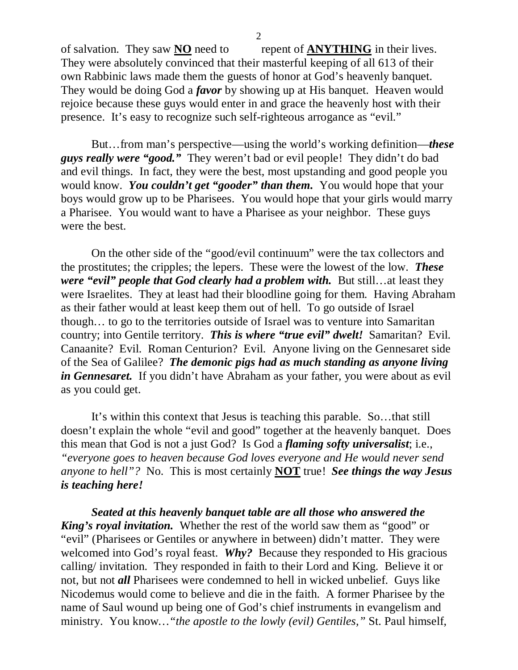of salvation. They saw **NO** need to repent of **ANYTHING** in their lives. They were absolutely convinced that their masterful keeping of all 613 of their own Rabbinic laws made them the guests of honor at God's heavenly banquet. They would be doing God a *favor* by showing up at His banquet. Heaven would rejoice because these guys would enter in and grace the heavenly host with their presence. It's easy to recognize such self-righteous arrogance as "evil."

But…from man's perspective—using the world's working definition—*these guys really were "good."* They weren't bad or evil people! They didn't do bad and evil things. In fact, they were the best, most upstanding and good people you would know. *You couldn't get "gooder" than them.* You would hope that your boys would grow up to be Pharisees. You would hope that your girls would marry a Pharisee. You would want to have a Pharisee as your neighbor. These guys were the best.

On the other side of the "good/evil continuum" were the tax collectors and the prostitutes; the cripples; the lepers. These were the lowest of the low. *These were "evil" people that God clearly had a problem with.* But still…at least they were Israelites. They at least had their bloodline going for them. Having Abraham as their father would at least keep them out of hell. To go outside of Israel though… to go to the territories outside of Israel was to venture into Samaritan country; into Gentile territory. *This is where "true evil" dwelt!* Samaritan? Evil. Canaanite? Evil. Roman Centurion? Evil. Anyone living on the Gennesaret side of the Sea of Galilee? *The demonic pigs had as much standing as anyone living in Gennesaret.* If you didn't have Abraham as your father, you were about as evil as you could get.

It's within this context that Jesus is teaching this parable. So…that still doesn't explain the whole "evil and good" together at the heavenly banquet. Does this mean that God is not a just God? Is God a *flaming softy universalist*; i.e., *"everyone goes to heaven because God loves everyone and He would never send anyone to hell"?* No. This is most certainly **NOT** true! *See things the way Jesus is teaching here!*

*Seated at this heavenly banquet table are all those who answered the King's royal invitation.* Whether the rest of the world saw them as "good" or "evil" (Pharisees or Gentiles or anywhere in between) didn't matter. They were welcomed into God's royal feast. *Why?* Because they responded to His gracious calling/ invitation. They responded in faith to their Lord and King. Believe it or not, but not *all* Pharisees were condemned to hell in wicked unbelief. Guys like Nicodemus would come to believe and die in the faith. A former Pharisee by the name of Saul wound up being one of God's chief instruments in evangelism and ministry. You know*…"the apostle to the lowly (evil) Gentiles,"* St. Paul himself,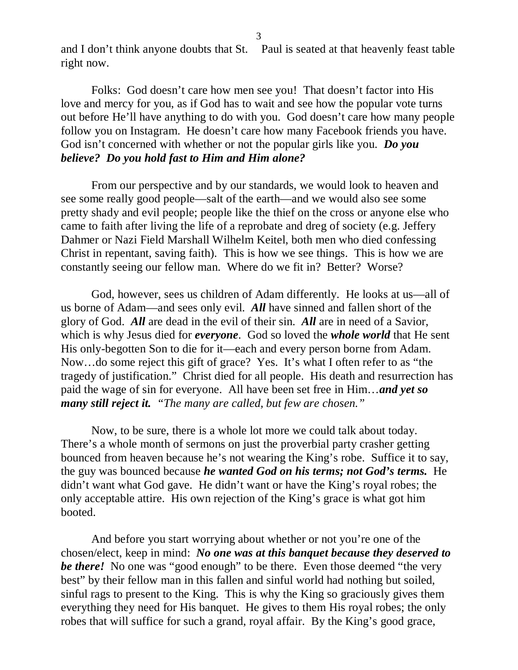3

and I don't think anyone doubts that St. Paul is seated at that heavenly feast table right now.

Folks: God doesn't care how men see you! That doesn't factor into His love and mercy for you, as if God has to wait and see how the popular vote turns out before He'll have anything to do with you. God doesn't care how many people follow you on Instagram. He doesn't care how many Facebook friends you have. God isn't concerned with whether or not the popular girls like you. *Do you believe? Do you hold fast to Him and Him alone?* 

From our perspective and by our standards, we would look to heaven and see some really good people—salt of the earth—and we would also see some pretty shady and evil people; people like the thief on the cross or anyone else who came to faith after living the life of a reprobate and dreg of society (e.g. Jeffery Dahmer or Nazi Field Marshall Wilhelm Keitel, both men who died confessing Christ in repentant, saving faith). This is how we see things. This is how we are constantly seeing our fellow man. Where do we fit in? Better? Worse?

God, however, sees us children of Adam differently. He looks at us—all of us borne of Adam—and sees only evil. *All* have sinned and fallen short of the glory of God. *All* are dead in the evil of their sin. *All* are in need of a Savior, which is why Jesus died for *everyone*. God so loved the *whole world* that He sent His only-begotten Son to die for it—each and every person borne from Adam. Now…do some reject this gift of grace? Yes. It's what I often refer to as "the tragedy of justification." Christ died for all people. His death and resurrection has paid the wage of sin for everyone. All have been set free in Him…*and yet so many still reject it. "The many are called, but few are chosen."*

Now, to be sure, there is a whole lot more we could talk about today. There's a whole month of sermons on just the proverbial party crasher getting bounced from heaven because he's not wearing the King's robe. Suffice it to say, the guy was bounced because *he wanted God on his terms; not God's terms.* He didn't want what God gave. He didn't want or have the King's royal robes; the only acceptable attire. His own rejection of the King's grace is what got him booted.

And before you start worrying about whether or not you're one of the chosen/elect, keep in mind: *No one was at this banquet because they deserved to be there!* No one was "good enough" to be there. Even those deemed "the very best" by their fellow man in this fallen and sinful world had nothing but soiled, sinful rags to present to the King. This is why the King so graciously gives them everything they need for His banquet. He gives to them His royal robes; the only robes that will suffice for such a grand, royal affair. By the King's good grace,